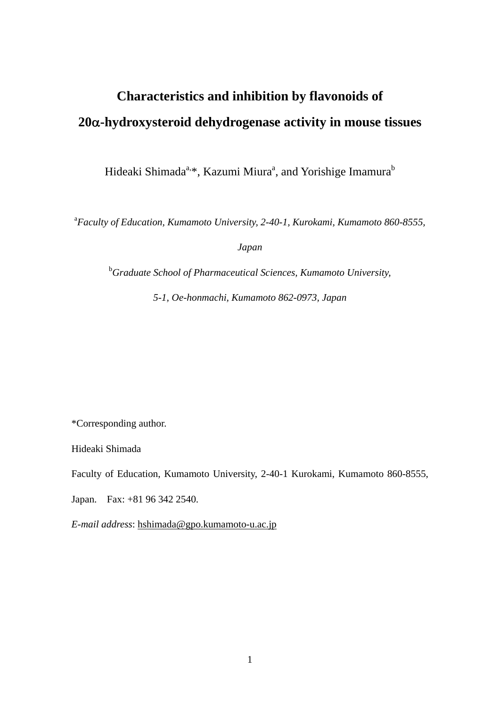# **Characteristics and inhibition by flavonoids of 20-hydroxysteroid dehydrogenase activity in mouse tissues**

Hideaki Shimada<sup>a,\*</sup>, Kazumi Miura<sup>a</sup>, and Yorishige Imamura<sup>b</sup>

a *Faculty of Education, Kumamoto University, 2-40-1, Kurokami, Kumamoto 860-8555,* 

*Japan*

<sup>b</sup>Graduate School of Pharmaceutical Sciences, Kumamoto University,

*5-1, Oe-honmachi, Kumamoto 862-0973, Japan*

\*Corresponding author.

Hideaki Shimada

Faculty of Education, Kumamoto University, 2-40-1 Kurokami, Kumamoto 860-8555,

Japan. Fax: +81 96 342 2540.

*E-mail address*: hshimada@gpo.kumamoto-u.ac.jp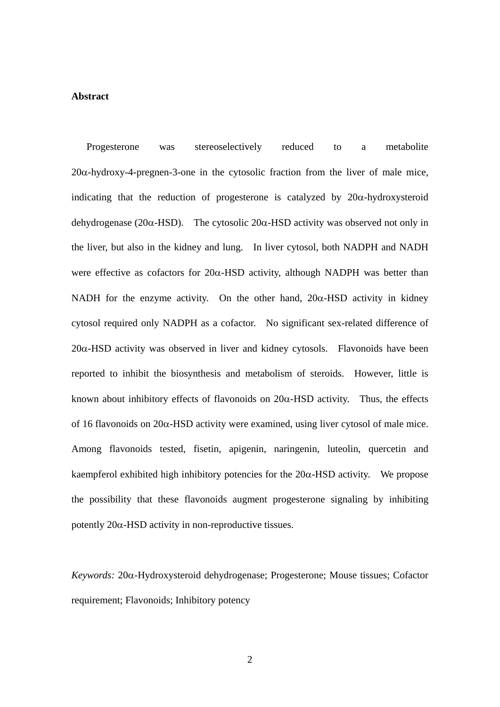#### **Abstract**

Progesterone was stereoselectively reduced to a metabolite  $20\alpha$ -hydroxy-4-pregnen-3-one in the cytosolic fraction from the liver of male mice, indicating that the reduction of progesterone is catalyzed by  $20\alpha$ -hydroxysteroid dehydrogenase (20 $\alpha$ -HSD). The cytosolic 20 $\alpha$ -HSD activity was observed not only in the liver, but also in the kidney and lung. In liver cytosol, both NADPH and NADH were effective as cofactors for  $20\alpha$ -HSD activity, although NADPH was better than NADH for the enzyme activity. On the other hand,  $20\alpha$ -HSD activity in kidney cytosol required only NADPH as a cofactor. No significant sex-related difference of  $20\alpha$ -HSD activity was observed in liver and kidney cytosols. Flavonoids have been reported to inhibit the biosynthesis and metabolism of steroids. However, little is known about inhibitory effects of flavonoids on  $20\alpha$ -HSD activity. Thus, the effects of 16 flavonoids on  $20\alpha$ -HSD activity were examined, using liver cytosol of male mice. Among flavonoids tested, fisetin, apigenin, naringenin, luteolin, quercetin and kaempferol exhibited high inhibitory potencies for the  $20\alpha$ -HSD activity. We propose the possibility that these flavonoids augment progesterone signaling by inhibiting potently  $20\alpha$ -HSD activity in non-reproductive tissues.

*Keywords:* 20α-Hydroxysteroid dehydrogenase; Progesterone; Mouse tissues; Cofactor requirement; Flavonoids; Inhibitory potency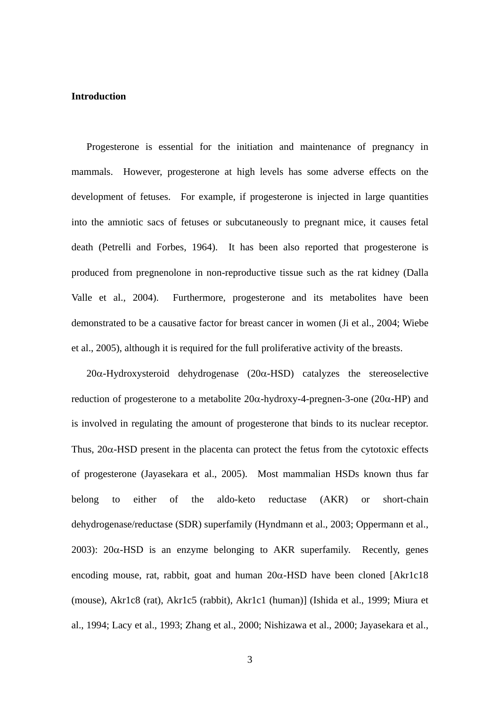### **Introduction**

 Progesterone is essential for the initiation and maintenance of pregnancy in mammals. However, progesterone at high levels has some adverse effects on the development of fetuses. For example, if progesterone is injected in large quantities into the amniotic sacs of fetuses or subcutaneously to pregnant mice, it causes fetal death (Petrelli and Forbes, 1964). It has been also reported that progesterone is produced from pregnenolone in non-reproductive tissue such as the rat kidney (Dalla Valle et al., 2004). Furthermore, progesterone and its metabolites have been demonstrated to be a causative factor for breast cancer in women (Ji et al., 2004; Wiebe et al., 2005), although it is required for the full proliferative activity of the breasts.

 $20\alpha$ -Hydroxysteroid dehydrogenase ( $20\alpha$ -HSD) catalyzes the stereoselective reduction of progesterone to a metabolite  $20\alpha$ -hydroxy-4-pregnen-3-one ( $20\alpha$ -HP) and is involved in regulating the amount of progesterone that binds to its nuclear receptor. Thus,  $20\alpha$ -HSD present in the placenta can protect the fetus from the cytotoxic effects of progesterone (Jayasekara et al., 2005). Most mammalian HSDs known thus far belong to either of the aldo-keto reductase (AKR) or short-chain dehydrogenase/reductase (SDR) superfamily (Hyndmann et al., 2003; Oppermann et al., 2003):  $20\alpha$ -HSD is an enzyme belonging to AKR superfamily. Recently, genes encoding mouse, rat, rabbit, goat and human  $20\alpha$ -HSD have been cloned [Akr1c18] (mouse), Akr1c8 (rat), Akr1c5 (rabbit), Akr1c1 (human)] (Ishida et al., 1999; Miura et al., 1994; Lacy et al., 1993; Zhang et al., 2000; Nishizawa et al., 2000; Jayasekara et al.,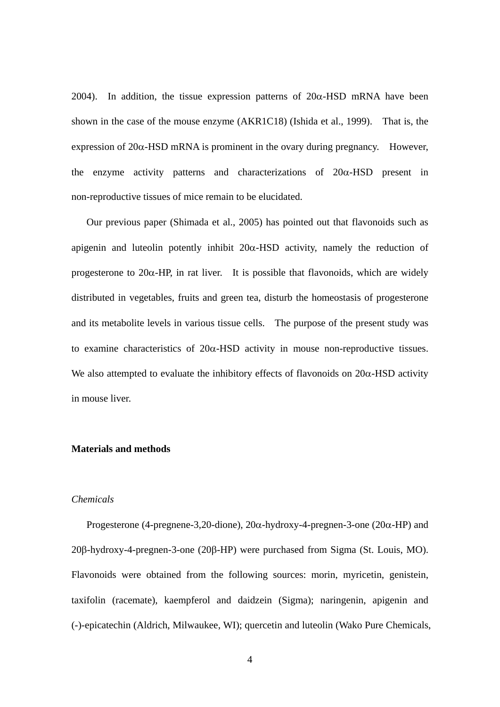2004). In addition, the tissue expression patterns of  $20\alpha$ -HSD mRNA have been shown in the case of the mouse enzyme (AKR1C18) (Ishida et al., 1999). That is, the expression of  $20\alpha$ -HSD mRNA is prominent in the ovary during pregnancy. However, the enzyme activity patterns and characterizations of  $20\alpha$ -HSD present in non-reproductive tissues of mice remain to be elucidated.

 Our previous paper (Shimada et al., 2005) has pointed out that flavonoids such as apigenin and luteolin potently inhibit  $20\alpha$ -HSD activity, namely the reduction of progesterone to  $20\alpha$ -HP, in rat liver. It is possible that flavonoids, which are widely distributed in vegetables, fruits and green tea, disturb the homeostasis of progesterone and its metabolite levels in various tissue cells. The purpose of the present study was to examine characteristics of  $20\alpha$ -HSD activity in mouse non-reproductive tissues. We also attempted to evaluate the inhibitory effects of flavonoids on  $20\alpha$ -HSD activity in mouse liver.

## **Materials and methods**

#### *Chemicals*

Progesterone (4-pregnene-3,20-dione),  $20\alpha$ -hydroxy-4-pregnen-3-one ( $20\alpha$ -HP) and 20β-hydroxy-4-pregnen-3-one (20β-HP) were purchased from Sigma (St. Louis, MO). Flavonoids were obtained from the following sources: morin, myricetin, genistein, taxifolin (racemate), kaempferol and daidzein (Sigma); naringenin, apigenin and (-)-epicatechin (Aldrich, Milwaukee, WI); quercetin and luteolin (Wako Pure Chemicals,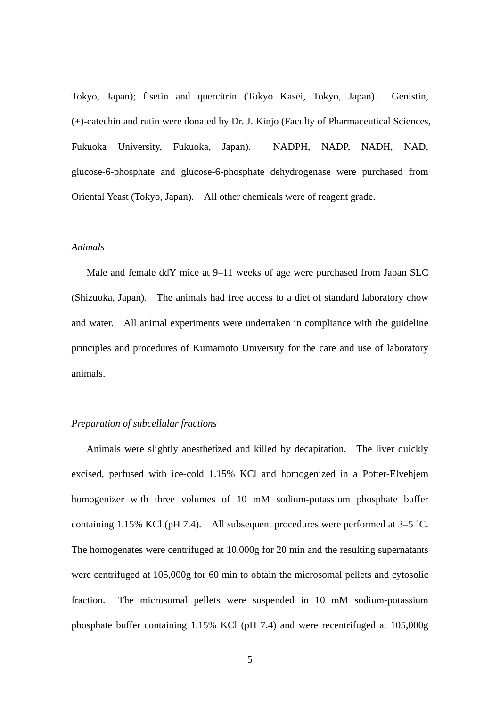Tokyo, Japan); fisetin and quercitrin (Tokyo Kasei, Tokyo, Japan). Genistin, (+)-catechin and rutin were donated by Dr. J. Kinjo (Faculty of Pharmaceutical Sciences, Fukuoka University, Fukuoka, Japan). NADPH, NADP, NADH, NAD, glucose-6-phosphate and glucose-6-phosphate dehydrogenase were purchased from Oriental Yeast (Tokyo, Japan). All other chemicals were of reagent grade.

#### *Animals*

 Male and female ddY mice at 9–11 weeks of age were purchased from Japan SLC (Shizuoka, Japan). The animals had free access to a diet of standard laboratory chow and water. All animal experiments were undertaken in compliance with the guideline principles and procedures of Kumamoto University for the care and use of laboratory animals.

## *Preparation of subcellular fractions*

 Animals were slightly anesthetized and killed by decapitation. The liver quickly excised, perfused with ice-cold 1.15% KCl and homogenized in a Potter-Elvehjem homogenizer with three volumes of 10 mM sodium-potassium phosphate buffer containing 1.15% KCl (pH 7.4). All subsequent procedures were performed at  $3-5$  °C. The homogenates were centrifuged at 10,000g for 20 min and the resulting supernatants were centrifuged at 105,000g for 60 min to obtain the microsomal pellets and cytosolic fraction. The microsomal pellets were suspended in 10 mM sodium-potassium phosphate buffer containing 1.15% KCl (pH 7.4) and were recentrifuged at 105,000g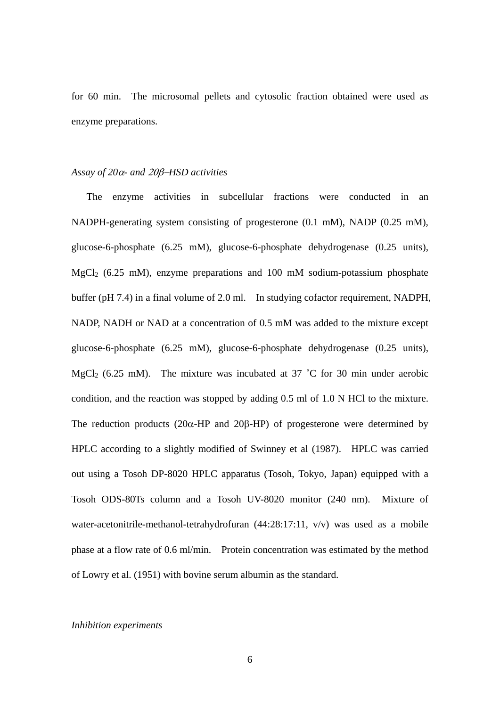for 60 min. The microsomal pellets and cytosolic fraction obtained were used as enzyme preparations.

## *Assay of 20α- and 20β-HSD activities*

 The enzyme activities in subcellular fractions were conducted in an NADPH-generating system consisting of progesterone (0.1 mM), NADP (0.25 mM), glucose-6-phosphate (6.25 mM), glucose-6-phosphate dehydrogenase (0.25 units),  $MgCl<sub>2</sub>$  (6.25 mM), enzyme preparations and 100 mM sodium-potassium phosphate buffer (pH 7.4) in a final volume of 2.0 ml. In studying cofactor requirement, NADPH, NADP, NADH or NAD at a concentration of 0.5 mM was added to the mixture except glucose-6-phosphate (6.25 mM), glucose-6-phosphate dehydrogenase (0.25 units), MgCl<sub>2</sub> (6.25 mM). The mixture was incubated at 37  $^{\circ}$ C for 30 min under aerobic condition, and the reaction was stopped by adding 0.5 ml of 1.0 N HCl to the mixture. The reduction products ( $20\alpha$ -HP and  $20\beta$ -HP) of progesterone were determined by HPLC according to a slightly modified of Swinney et al (1987). HPLC was carried out using a Tosoh DP-8020 HPLC apparatus (Tosoh, Tokyo, Japan) equipped with a Tosoh ODS-80Ts column and a Tosoh UV-8020 monitor (240 nm). Mixture of water-acetonitrile-methanol-tetrahydrofuran (44:28:17:11, v/v) was used as a mobile phase at a flow rate of 0.6 ml/min. Protein concentration was estimated by the method of Lowry et al. (1951) with bovine serum albumin as the standard.

#### *Inhibition experiments*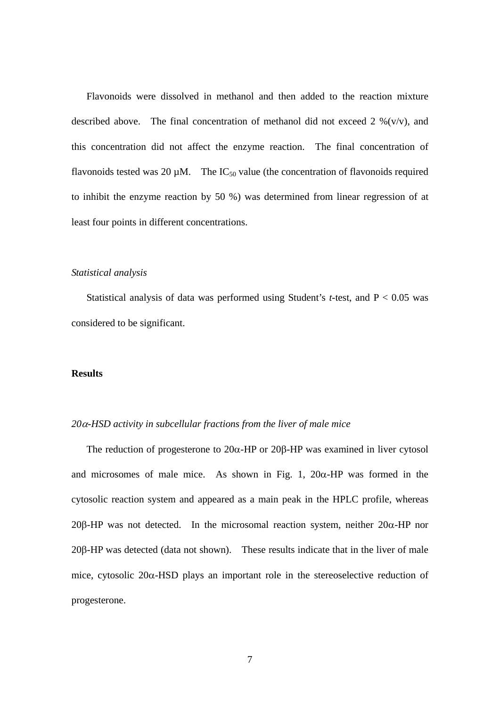Flavonoids were dissolved in methanol and then added to the reaction mixture described above. The final concentration of methanol did not exceed  $2\%$  (v/v), and this concentration did not affect the enzyme reaction. The final concentration of flavonoids tested was 20  $\mu$ M. The IC<sub>50</sub> value (the concentration of flavonoids required to inhibit the enzyme reaction by 50 %) was determined from linear regression of at least four points in different concentrations.

#### *Statistical analysis*

 Statistical analysis of data was performed using Student's *t*-test, and P < 0.05 was considered to be significant.

## **Results**

### $20\alpha$ -HSD activity in subcellular fractions from the liver of male mice

The reduction of progesterone to  $20\alpha$ -HP or  $20\beta$ -HP was examined in liver cytosol and microsomes of male mice. As shown in Fig. 1,  $20\alpha$ -HP was formed in the cytosolic reaction system and appeared as a main peak in the HPLC profile, whereas  $20\beta$ -HP was not detected. In the microsomal reaction system, neither  $20\alpha$ -HP nor  $20\beta$ -HP was detected (data not shown). These results indicate that in the liver of male mice, cytosolic  $20\alpha$ -HSD plays an important role in the stereoselective reduction of progesterone.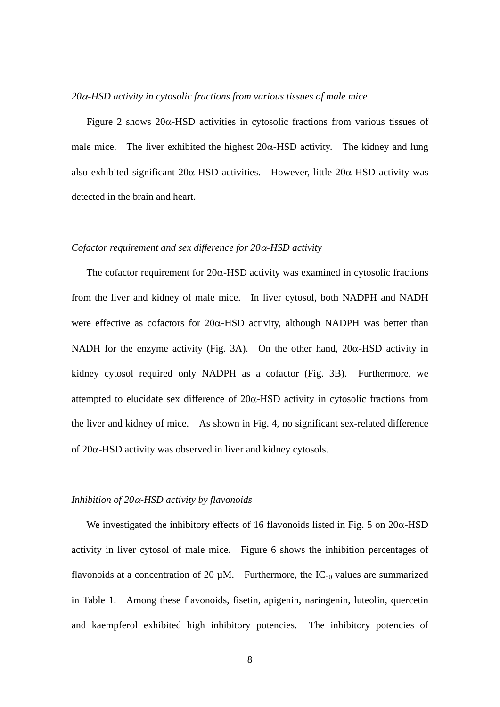## *20-HSD activity in cytosolic fractions from various tissues of male mice*

Figure 2 shows  $20\alpha$ -HSD activities in cytosolic fractions from various tissues of male mice. The liver exhibited the highest  $20\alpha$ -HSD activity. The kidney and lung also exhibited significant  $20\alpha$ -HSD activities. However, little  $20\alpha$ -HSD activity was detected in the brain and heart.

#### *Cofactor requirement and sex difference for 20-HSD activity*

The cofactor requirement for  $20\alpha$ -HSD activity was examined in cytosolic fractions from the liver and kidney of male mice. In liver cytosol, both NADPH and NADH were effective as cofactors for  $20\alpha$ -HSD activity, although NADPH was better than NADH for the enzyme activity (Fig. 3A). On the other hand,  $20\alpha$ -HSD activity in kidney cytosol required only NADPH as a cofactor (Fig. 3B). Furthermore, we attempted to elucidate sex difference of  $20\alpha$ -HSD activity in cytosolic fractions from the liver and kidney of mice. As shown in Fig. 4, no significant sex-related difference of  $20\alpha$ -HSD activity was observed in liver and kidney cytosols.

### *Inhibition of 20-HSD activity by flavonoids*

We investigated the inhibitory effects of 16 flavonoids listed in Fig. 5 on  $20\alpha$ -HSD activity in liver cytosol of male mice. Figure 6 shows the inhibition percentages of flavonoids at a concentration of 20  $\mu$ M. Furthermore, the IC<sub>50</sub> values are summarized in Table 1. Among these flavonoids, fisetin, apigenin, naringenin, luteolin, quercetin and kaempferol exhibited high inhibitory potencies. The inhibitory potencies of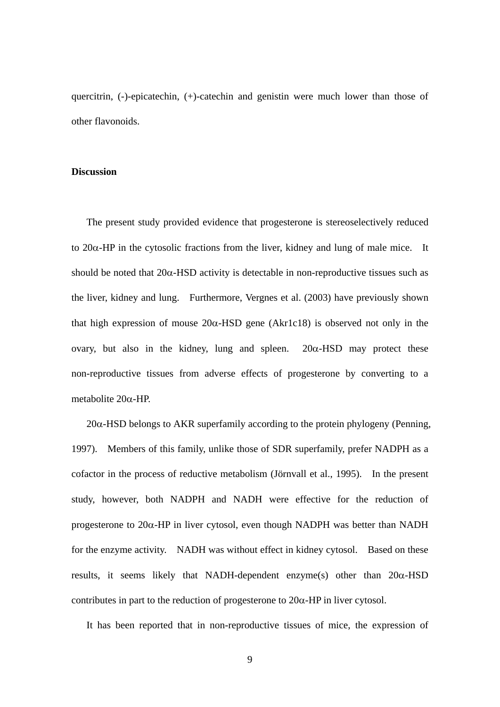quercitrin, (-)-epicatechin, (+)-catechin and genistin were much lower than those of other flavonoids.

## **Discussion**

 The present study provided evidence that progesterone is stereoselectively reduced to  $20\alpha$ -HP in the cytosolic fractions from the liver, kidney and lung of male mice. It should be noted that  $20\alpha$ -HSD activity is detectable in non-reproductive tissues such as the liver, kidney and lung. Furthermore, Vergnes et al. (2003) have previously shown that high expression of mouse  $20\alpha$ -HSD gene (Akr1c18) is observed not only in the ovary, but also in the kidney, lung and spleen.  $20\alpha$ -HSD may protect these non-reproductive tissues from adverse effects of progesterone by converting to a metabolite  $20\alpha$ -HP.

 $20\alpha$ -HSD belongs to AKR superfamily according to the protein phylogeny (Penning, 1997). Members of this family, unlike those of SDR superfamily, prefer NADPH as a cofactor in the process of reductive metabolism (Jörnvall et al., 1995). In the present study, however, both NADPH and NADH were effective for the reduction of progesterone to  $20\alpha$ -HP in liver cytosol, even though NADPH was better than NADH for the enzyme activity. NADH was without effect in kidney cytosol. Based on these results, it seems likely that NADH-dependent enzyme(s) other than  $20\alpha$ -HSD contributes in part to the reduction of progesterone to  $20\alpha$ -HP in liver cytosol.

It has been reported that in non-reproductive tissues of mice, the expression of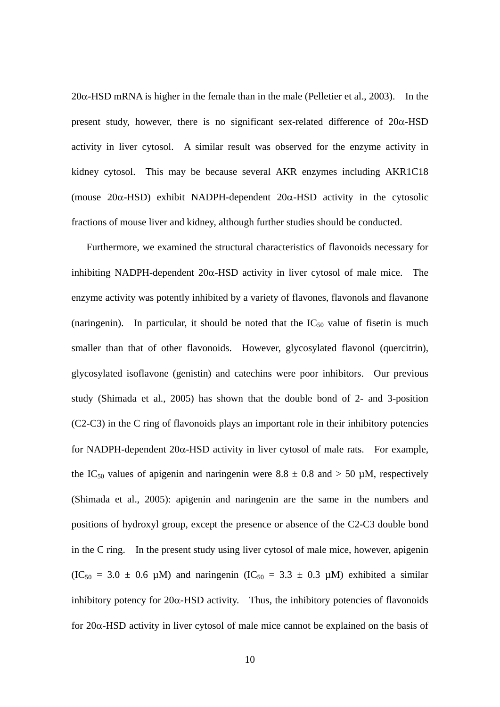$20\alpha$ -HSD mRNA is higher in the female than in the male (Pelletier et al., 2003). In the present study, however, there is no significant sex-related difference of  $20\alpha$ -HSD activity in liver cytosol. A similar result was observed for the enzyme activity in kidney cytosol. This may be because several AKR enzymes including AKR1C18 (mouse  $20\alpha$ -HSD) exhibit NADPH-dependent  $20\alpha$ -HSD activity in the cytosolic fractions of mouse liver and kidney, although further studies should be conducted.

 Furthermore, we examined the structural characteristics of flavonoids necessary for inhibiting NADPH-dependent  $20\alpha$ -HSD activity in liver cytosol of male mice. The enzyme activity was potently inhibited by a variety of flavones, flavonols and flavanone (naringenin). In particular, it should be noted that the  $IC_{50}$  value of fisetin is much smaller than that of other flavonoids. However, glycosylated flavonol (quercitrin), glycosylated isoflavone (genistin) and catechins were poor inhibitors. Our previous study (Shimada et al., 2005) has shown that the double bond of 2- and 3-position (C2-C3) in the C ring of flavonoids plays an important role in their inhibitory potencies for NADPH-dependent  $20\alpha$ -HSD activity in liver cytosol of male rats. For example, the IC<sub>50</sub> values of apigenin and naringenin were  $8.8 \pm 0.8$  and  $> 50$  µM, respectively (Shimada et al., 2005): apigenin and naringenin are the same in the numbers and positions of hydroxyl group, except the presence or absence of the C2-C3 double bond in the C ring. In the present study using liver cytosol of male mice, however, apigenin  $(IC_{50} = 3.0 \pm 0.6 \mu M)$  and naringenin  $(IC_{50} = 3.3 \pm 0.3 \mu M)$  exhibited a similar inhibitory potency for  $20\alpha$ -HSD activity. Thus, the inhibitory potencies of flavonoids for  $20\alpha$ -HSD activity in liver cytosol of male mice cannot be explained on the basis of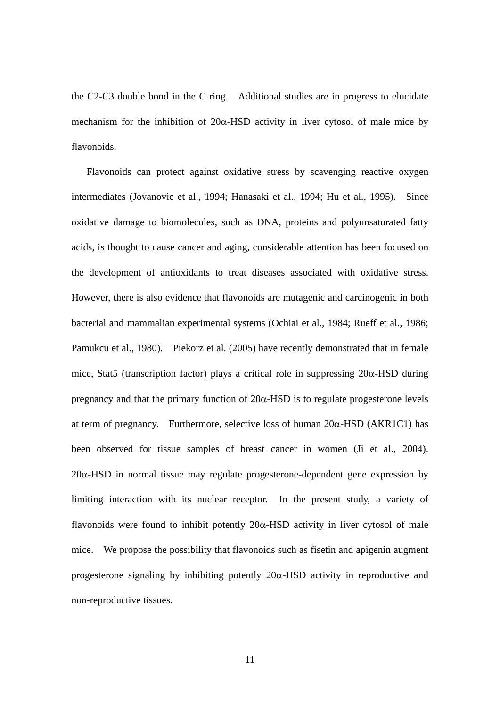the C2-C3 double bond in the C ring. Additional studies are in progress to elucidate mechanism for the inhibition of  $20\alpha$ -HSD activity in liver cytosol of male mice by flavonoids.

 Flavonoids can protect against oxidative stress by scavenging reactive oxygen intermediates (Jovanovic et al., 1994; Hanasaki et al., 1994; Hu et al., 1995). Since oxidative damage to biomolecules, such as DNA, proteins and polyunsaturated fatty acids, is thought to cause cancer and aging, considerable attention has been focused on the development of antioxidants to treat diseases associated with oxidative stress. However, there is also evidence that flavonoids are mutagenic and carcinogenic in both bacterial and mammalian experimental systems (Ochiai et al., 1984; Rueff et al., 1986; Pamukcu et al., 1980). Piekorz et al. (2005) have recently demonstrated that in female mice, Stat5 (transcription factor) plays a critical role in suppressing  $20\alpha$ -HSD during pregnancy and that the primary function of  $20\alpha$ -HSD is to regulate progesterone levels at term of pregnancy. Furthermore, selective loss of human  $20\alpha$ -HSD (AKR1C1) has been observed for tissue samples of breast cancer in women (Ji et al., 2004).  $20\alpha$ -HSD in normal tissue may regulate progesterone-dependent gene expression by limiting interaction with its nuclear receptor. In the present study, a variety of flavonoids were found to inhibit potently  $20\alpha$ -HSD activity in liver cytosol of male mice. We propose the possibility that flavonoids such as fisetin and apigenin augment progesterone signaling by inhibiting potently  $20\alpha$ -HSD activity in reproductive and non-reproductive tissues.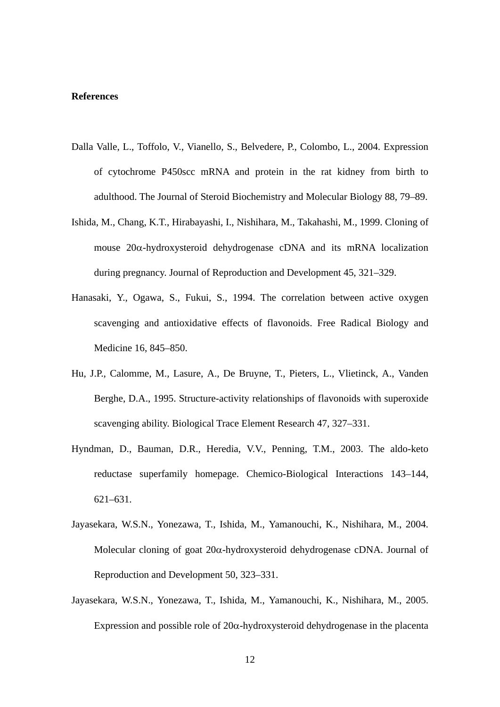### **References**

- Dalla Valle, L., Toffolo, V., Vianello, S., Belvedere, P., Colombo, L., 2004. Expression of cytochrome P450scc mRNA and protein in the rat kidney from birth to adulthood. The Journal of Steroid Biochemistry and Molecular Biology 88, 79–89.
- Ishida, M., Chang, K.T., Hirabayashi, I., Nishihara, M., Takahashi, M., 1999. Cloning of mouse  $20\alpha$ -hydroxysteroid dehydrogenase cDNA and its mRNA localization during pregnancy. Journal of Reproduction and Development 45, 321–329.
- Hanasaki, Y., Ogawa, S., Fukui, S., 1994. The correlation between active oxygen scavenging and antioxidative effects of flavonoids. Free Radical Biology and Medicine 16, 845–850.
- Hu, J.P., Calomme, M., Lasure, A., De Bruyne, T., Pieters, L., Vlietinck, A., Vanden Berghe, D.A., 1995. Structure-activity relationships of flavonoids with superoxide scavenging ability. Biological Trace Element Research 47, 327–331.
- Hyndman, D., Bauman, D.R., Heredia, V.V., Penning, T.M., 2003. The aldo-keto reductase superfamily homepage. Chemico-Biological Interactions 143–144, 621–631.
- Jayasekara, W.S.N., Yonezawa, T., Ishida, M., Yamanouchi, K., Nishihara, M., 2004. Molecular cloning of goat  $20\alpha$ -hydroxysteroid dehydrogenase cDNA. Journal of Reproduction and Development 50, 323–331.
- Jayasekara, W.S.N., Yonezawa, T., Ishida, M., Yamanouchi, K., Nishihara, M., 2005. Expression and possible role of  $20\alpha$ -hydroxysteroid dehydrogenase in the placenta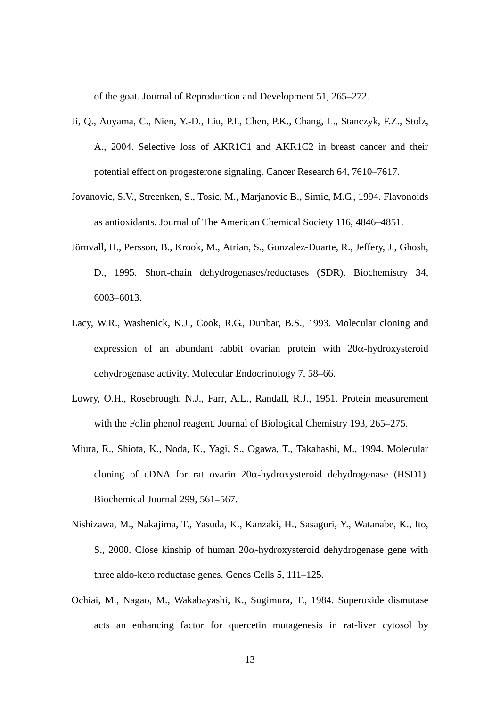of the goat. Journal of Reproduction and Development 51, 265–272.

- Ji, Q., Aoyama, C., Nien, Y.-D., Liu, P.I., Chen, P.K., Chang, L., Stanczyk, F.Z., Stolz, A., 2004. Selective loss of AKR1C1 and AKR1C2 in breast cancer and their potential effect on progesterone signaling. Cancer Research 64, 7610–7617.
- Jovanovic, S.V., Streenken, S., Tosic, M., Marjanovic B., Simic, M.G., 1994. Flavonoids as antioxidants. Journal of The American Chemical Society 116, 4846–4851.
- Jörnvall, H., Persson, B., Krook, M., Atrian, S., Gonzalez-Duarte, R., Jeffery, J., Ghosh, D., 1995. Short-chain dehydrogenases/reductases (SDR). Biochemistry 34, 6003–6013.
- Lacy, W.R., Washenick, K.J., Cook, R.G., Dunbar, B.S., 1993. Molecular cloning and expression of an abundant rabbit ovarian protein with  $20\alpha$ -hydroxysteroid dehydrogenase activity. Molecular Endocrinology 7, 58–66.
- Lowry, O.H., Rosebrough, N.J., Farr, A.L., Randall, R.J., 1951. Protein measurement with the Folin phenol reagent. Journal of Biological Chemistry 193, 265–275.
- Miura, R., Shiota, K., Noda, K., Yagi, S., Ogawa, T., Takahashi, M., 1994. Molecular cloning of cDNA for rat ovarin  $20\alpha$ -hydroxysteroid dehydrogenase (HSD1). Biochemical Journal 299, 561–567.
- Nishizawa, M., Nakajima, T., Yasuda, K., Kanzaki, H., Sasaguri, Y., Watanabe, K., Ito, S., 2000. Close kinship of human  $20\alpha$ -hydroxysteroid dehydrogenase gene with three aldo-keto reductase genes. Genes Cells 5, 111–125.
- Ochiai, M., Nagao, M., Wakabayashi, K., Sugimura, T., 1984. Superoxide dismutase acts an enhancing factor for quercetin mutagenesis in rat-liver cytosol by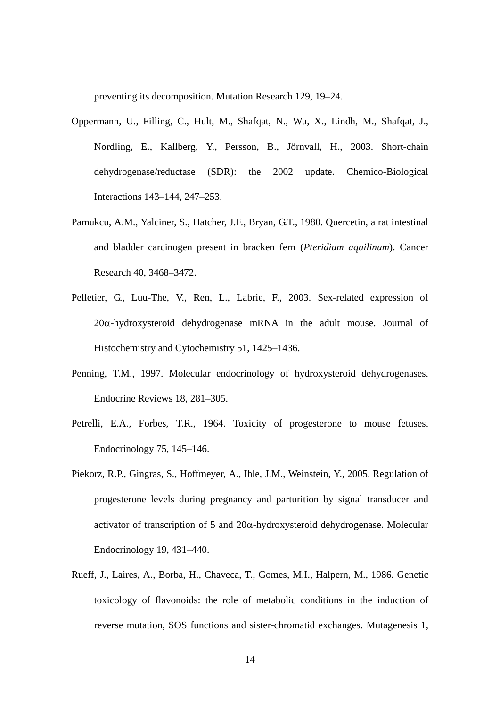preventing its decomposition. Mutation Research 129, 19–24.

- Oppermann, U., Filling, C., Hult, M., Shafqat, N., Wu, X., Lindh, M., Shafqat, J., Nordling, E., Kallberg, Y., Persson, B., Jörnvall, H., 2003. Short-chain dehydrogenase/reductase (SDR): the 2002 update. Chemico-Biological Interactions 143–144, 247–253.
- Pamukcu, A.M., Yalciner, S., Hatcher, J.F., Bryan, G.T., 1980. Quercetin, a rat intestinal and bladder carcinogen present in bracken fern (*Pteridium aquilinum*). Cancer Research 40, 3468–3472.
- Pelletier, G., Luu-The, V., Ren, L., Labrie, F., 2003. Sex-related expression of  $20\alpha$ -hydroxysteroid dehydrogenase mRNA in the adult mouse. Journal of Histochemistry and Cytochemistry 51, 1425–1436.
- Penning, T.M., 1997. Molecular endocrinology of hydroxysteroid dehydrogenases. Endocrine Reviews 18, 281–305.
- Petrelli, E.A., Forbes, T.R., 1964. Toxicity of progesterone to mouse fetuses. Endocrinology 75, 145–146.
- Piekorz, R.P., Gingras, S., Hoffmeyer, A., Ihle, J.M., Weinstein, Y., 2005. Regulation of progesterone levels during pregnancy and parturition by signal transducer and activator of transcription of 5 and  $20\alpha$ -hydroxysteroid dehydrogenase. Molecular Endocrinology 19, 431–440.
- Rueff, J., Laires, A., Borba, H., Chaveca, T., Gomes, M.I., Halpern, M., 1986. Genetic toxicology of flavonoids: the role of metabolic conditions in the induction of reverse mutation, SOS functions and sister-chromatid exchanges. Mutagenesis 1,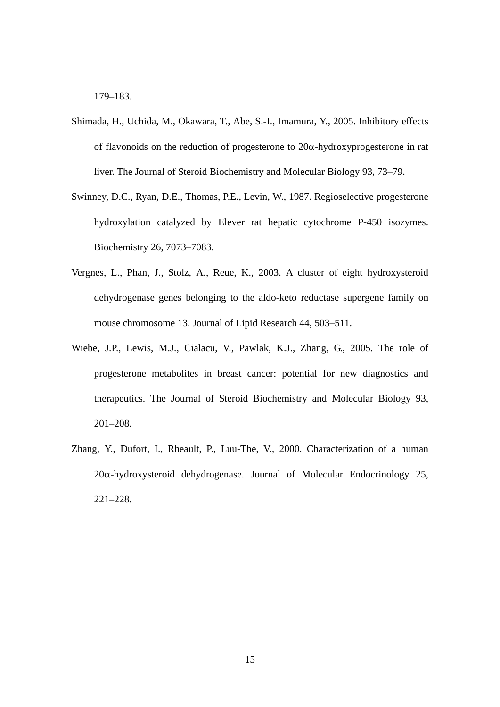179–183.

- Shimada, H., Uchida, M., Okawara, T., Abe, S.-I., Imamura, Y., 2005. Inhibitory effects of flavonoids on the reduction of progesterone to  $20\alpha$ -hydroxyprogesterone in rat liver. The Journal of Steroid Biochemistry and Molecular Biology 93, 73–79.
- Swinney, D.C., Ryan, D.E., Thomas, P.E., Levin, W., 1987. Regioselective progesterone hydroxylation catalyzed by Elever rat hepatic cytochrome P-450 isozymes. Biochemistry 26, 7073–7083.
- Vergnes, L., Phan, J., Stolz, A., Reue, K., 2003. A cluster of eight hydroxysteroid dehydrogenase genes belonging to the aldo-keto reductase supergene family on mouse chromosome 13. Journal of Lipid Research 44, 503–511.
- Wiebe, J.P., Lewis, M.J., Cialacu, V., Pawlak, K.J., Zhang, G., 2005. The role of progesterone metabolites in breast cancer: potential for new diagnostics and therapeutics. The Journal of Steroid Biochemistry and Molecular Biology 93, 201–208.
- Zhang, Y., Dufort, I., Rheault, P., Luu-The, V., 2000. Characterization of a human  $20\alpha$ -hydroxysteroid dehydrogenase. Journal of Molecular Endocrinology 25, 221–228.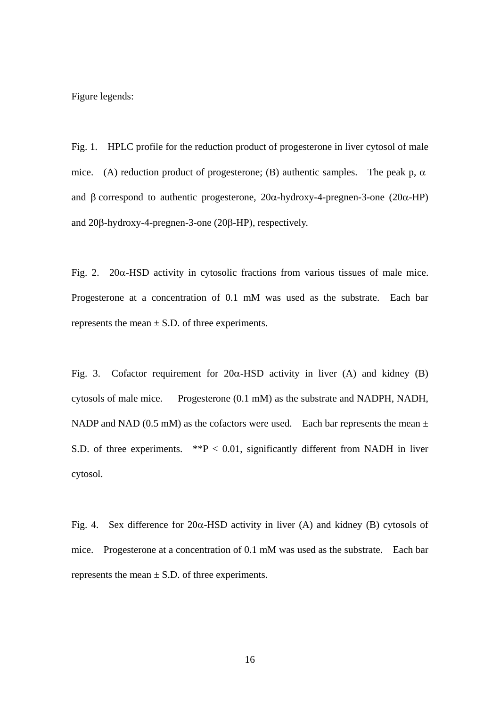Figure legends:

Fig. 1. HPLC profile for the reduction product of progesterone in liver cytosol of male mice. (A) reduction product of progesterone; (B) authentic samples. The peak p,  $\alpha$ and  $\beta$  correspond to authentic progesterone,  $20\alpha$ -hydroxy-4-pregnen-3-one ( $20\alpha$ -HP) and  $20\beta$ -hydroxy-4-pregnen-3-one ( $20\beta$ -HP), respectively.

Fig. 2.  $20\alpha$ -HSD activity in cytosolic fractions from various tissues of male mice. Progesterone at a concentration of 0.1 mM was used as the substrate. Each bar represents the mean  $\pm$  S.D. of three experiments.

Fig. 3. Cofactor requirement for  $20\alpha$ -HSD activity in liver (A) and kidney (B) cytosols of male mice. Progesterone (0.1 mM) as the substrate and NADPH, NADH, NADP and NAD (0.5 mM) as the cofactors were used. Each bar represents the mean  $\pm$ S.D. of three experiments.  $*P < 0.01$ , significantly different from NADH in liver cytosol.

Fig. 4. Sex difference for  $20\alpha$ -HSD activity in liver (A) and kidney (B) cytosols of mice. Progesterone at a concentration of 0.1 mM was used as the substrate. Each bar represents the mean  $\pm$  S.D. of three experiments.